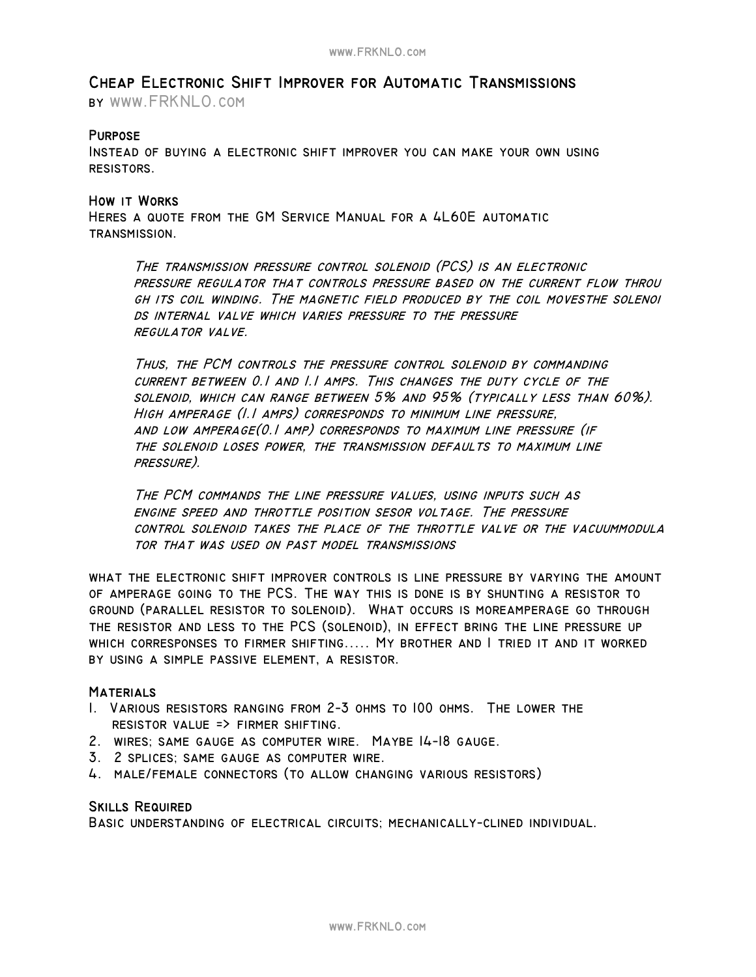# **Cheap Electronic Shift Improver for Automatic Transmissions**

**by www.FRKNLO.com**

# **Purpose**

**Instead of buying a electronic shift improver you can make your own using resistors.** 

## **How it Works**

**Heres a quote from the GM Service Manual for a 4L60E automatic transmission.** 

**The transmission pressure control solenoid (PCS) is an electronic pressure regulator that controls pressure based on the current flow throu gh its coil winding. The magnetic field produced by the coil movesthe solenoi ds internal valve which varies pressure to the pressure regulator valve.** 

**Thus, the PCM controls the pressure control solenoid by commanding current between 0.1 and 1.1 amps. This changes the duty cycle of the solenoid, which can range between 5% and 95% (typically less than 60%). High amperage (1.1 amps) corresponds to minimum line pressure, and low amperage(0.1 amp) corresponds to maximum line pressure (if the solenoid loses power, the transmission defaults to maximum line pressure).** 

**The PCM commands the line pressure values, using inputs such as engine speed and throttle position sesor voltage. The pressure control solenoid takes the place of the throttle valve or the vacuummodula tor that was used on past model transmissions** 

**what the electronic shift improver controls is line pressure by varying the amount of amperage going to the PCS. The way this is done is by shunting a resistor to ground (parallel resistor to solenoid). What occurs is moreamperage go through the resistor and less to the PCS (solenoid), in effect bring the line pressure up which corresponses to firmer shifting..... My brother and I tried it and it worked by using a simple passive element, a resistor.** 

## **Materials**

- **1. Various resistors ranging from 2−3 ohms to 100 ohms. The lower the resistor value => firmer shifting.**
- **2. wires; same gauge as computer wire. Maybe 14−18 gauge.**
- **3. 2 splices; same gauge as computer wire.**
- **4. male/female connectors (to allow changing various resistors)**

### **Skills Required**

**Basic understanding of electrical circuits; mechanically−clined individual.**